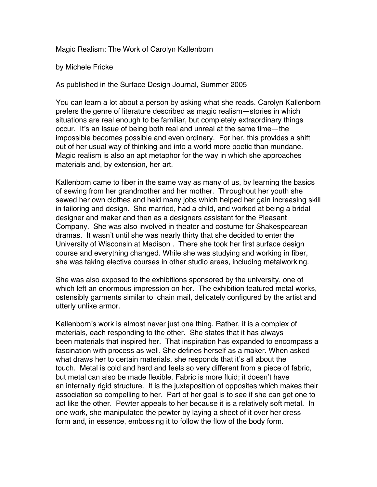Magic Realism: The Work of Carolyn Kallenborn

by Michele Fricke

As published in the Surface Design Journal, Summer 2005

You can learn a lot about a person by asking what she reads. Carolyn Kallenborn prefers the genre of literature described as magic realism—stories in which situations are real enough to be familiar, but completely extraordinary things occur. It's an issue of being both real and unreal at the same time—the impossible becomes possible and even ordinary. For her, this provides a shift out of her usual way of thinking and into a world more poetic than mundane. Magic realism is also an apt metaphor for the way in which she approaches materials and, by extension, her art.

Kallenborn came to fiber in the same way as many of us, by learning the basics of sewing from her grandmother and her mother. Throughout her youth she sewed her own clothes and held many jobs which helped her gain increasing skill in tailoring and design. She married, had a child, and worked at being a bridal designer and maker and then as a designers assistant for the Pleasant Company. She was also involved in theater and costume for Shakespearean dramas. It wasn't until she was nearly thirty that she decided to enter the University of Wisconsin at Madison . There she took her first surface design course and everything changed. While she was studying and working in fiber, she was taking elective courses in other studio areas, including metalworking.

She was also exposed to the exhibitions sponsored by the university, one of which left an enormous impression on her. The exhibition featured metal works, ostensibly garments similar to chain mail, delicately configured by the artist and utterly unlike armor.

Kallenborn's work is almost never just one thing. Rather, it is a complex of materials, each responding to the other. She states that it has always been materials that inspired her. That inspiration has expanded to encompass a fascination with process as well. She defines herself as a maker. When asked what draws her to certain materials, she responds that it's all about the touch. Metal is cold and hard and feels so very different from a piece of fabric, but metal can also be made flexible. Fabric is more fluid; it doesn't have an internally rigid structure. It is the juxtaposition of opposites which makes their association so compelling to her. Part of her goal is to see if she can get one to act like the other. Pewter appeals to her because it is a relatively soft metal. In one work, she manipulated the pewter by laying a sheet of it over her dress form and, in essence, embossing it to follow the flow of the body form.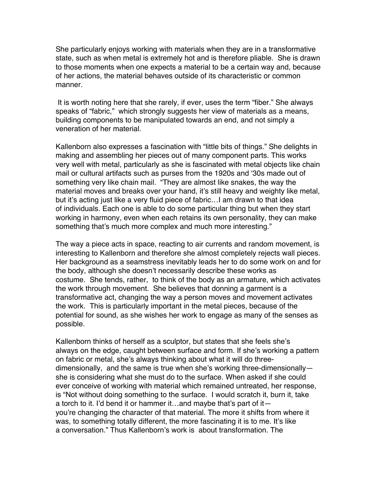She particularly enjoys working with materials when they are in a transformative state, such as when metal is extremely hot and is therefore pliable. She is drawn to those moments when one expects a material to be a certain way and, because of her actions, the material behaves outside of its characteristic or common manner.

It is worth noting here that she rarely, if ever, uses the term "fiber." She always speaks of "fabric," which strongly suggests her view of materials as a means, building components to be manipulated towards an end, and not simply a veneration of her material.

Kallenborn also expresses a fascination with "little bits of things." She delights in making and assembling her pieces out of many component parts. This works very well with metal, particularly as she is fascinated with metal objects like chain mail or cultural artifacts such as purses from the 1920s and '30s made out of something very like chain mail. "They are almost like snakes, the way the material moves and breaks over your hand, it's still heavy and weighty like metal, but it's acting just like a very fluid piece of fabric…I am drawn to that idea of individuals. Each one is able to do some particular thing but when they start working in harmony, even when each retains its own personality, they can make something that's much more complex and much more interesting."

The way a piece acts in space, reacting to air currents and random movement, is interesting to Kallenborn and therefore she almost completely rejects wall pieces. Her background as a seamstress inevitably leads her to do some work on and for the body, although she doesn't necessarily describe these works as costume. She tends, rather, to think of the body as an armature, which activates the work through movement. She believes that donning a garment is a transformative act, changing the way a person moves and movement activates the work. This is particularly important in the metal pieces, because of the potential for sound, as she wishes her work to engage as many of the senses as possible.

Kallenborn thinks of herself as a sculptor, but states that she feels she's always on the edge, caught between surface and form. If she's working a pattern on fabric or metal, she's always thinking about what it will do threedimensionally, and the same is true when she's working three-dimensionally she is considering what she must do to the surface. When asked if she could ever conceive of working with material which remained untreated, her response, is "Not without doing something to the surface. I would scratch it, burn it, take a torch to it. I'd bend it or hammer it…and maybe that's part of it you're changing the character of that material. The more it shifts from where it was, to something totally different, the more fascinating it is to me. It's like a conversation." Thus Kallenborn's work is about transformation. The